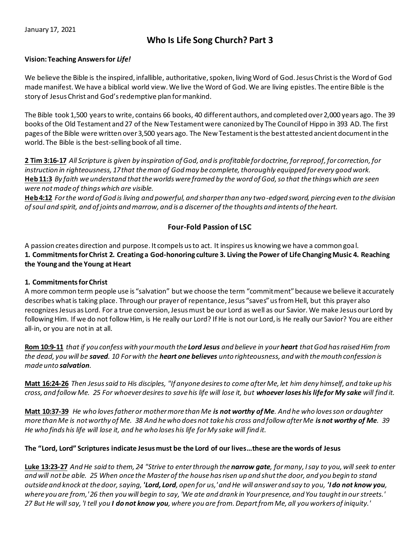# **Who Is Life Song Church? Part 3**

#### **Vision: Teaching Answers for** *Life!*

We believe the Bible is the inspired, infallible, authoritative, spoken, living Word of God. Jesus Christ is the Word of God made manifest. We have a biblical world view. We live the Word of God. We are living epistles. The entire Bible is the story of Jesus Christ and God's redemptive plan for mankind.

The Bible took 1,500 years to write, contains 66 books, 40 different authors, and completed over 2,000 years ago. The 39 books of the Old Testament and 27 of the New Testament were canonized by The Councilof Hippo in 393 AD. The first pages of the Bible were written over 3,500 years ago. The New Testament is the best attested ancient document in the world. The Bible is the best-selling book of all time.

**2 Tim 3:16-17** *All Scripture is given by inspiration of God, and is profitable for doctrine, for reproof, for correction, for instruction in righteousness, 17 that the man of God may be complete, thoroughly equipped for every good work.*  **Heb 11:3** *By faith we understand that the worlds were framed by the word of God, so that the things which are seen were not made of things which are visible.* 

**Heb 4:12** *For the word of God is living and powerful, and sharper than any two-edged sword, piercing even to the division of soul and spirit, and of joints and marrow, and is a discerner of the thoughts and intents of the heart.* 

## **Four-Fold Passion of LSC**

A passion creates direction and purpose. It compels us to act. It inspires us knowing we have a common goal. **1. Commitments for Christ 2. Creating a God-honoring culture 3. Living the Power of Life Changing Music 4. Reaching the Young and the Young at Heart** 

## **1. Commitments for Christ**

A more common term people use is "salvation" but we choose the term "commitment" because we believe it accurately describes what is taking place. Through our prayer of repentance, Jesus "saves" us from Hell, but this prayer also recognizes Jesus as Lord. For a true conversion, Jesus must be our Lord as well as our Savior. We make Jesus our Lord by following Him. If we do not follow Him, is He really our Lord? If He is not our Lord, is He really our Savior? You are either all-in, or you are not in at all.

**Rom 10:9-11** *that if you confess with your mouth the Lord Jesus and believe in your heart that God has raised Him from the dead, you will be saved. 10 For with the heart one believes unto righteousness, and with the mouth confession is made unto salvation.* 

**Matt 16:24-26** *Then Jesus said to His disciples, "If anyone desires to come after Me, let him deny himself, and take up his cross, and follow Me. 25 For whoever desires to save his life will lose it, but whoever loses his life for My sake will find it.* 

**Matt 10:37-39** *He who loves father or mother more than Me is not worthy of Me. And he who loves son or daughter more than Me is not worthy of Me. 38 And he who does not take his cross and follow after Me is not worthy of Me. 39 He who finds his life will lose it, and he who loses his life for My sake will find it.* 

## **The "Lord, Lord" Scriptures indicate Jesus must be the Lord of our lives…these are the words of Jesus**

**Luke 13:23-27** *And He said to them, 24 "Strive to enter through the narrow gate, for many, I say to you, will seek to enter and will not be able. 25 When once the Master of the house has risen up and shut the door, and you begin to stand outside and knock at the door, saying, 'Lord, Lord, open for us,' and He will answer and say to you, 'I do not know you, where you are from,' 26 then you will begin to say, 'We ate and drank in Your presence, and You taught in our streets.' 27 But He will say, 'I tell you I do not know you, where you are from. Depart from Me, all you workers of iniquity.'*